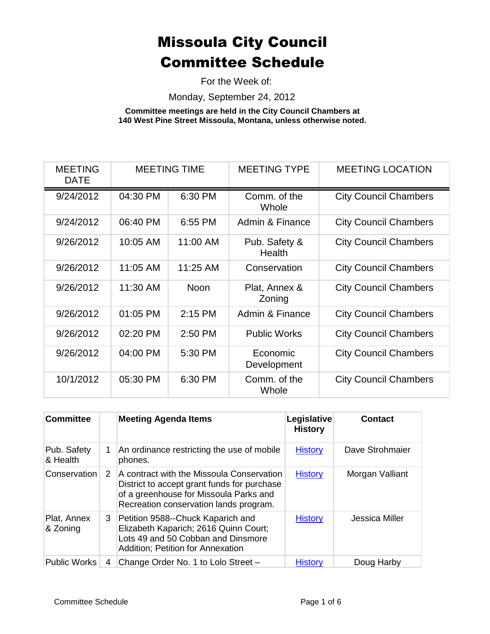For the Week of:

Monday, September 24, 2012

| <b>MEETING</b><br><b>DATE</b> |          | <b>MEETING TIME</b> | <b>MEETING TYPE</b>     | <b>MEETING LOCATION</b>      |
|-------------------------------|----------|---------------------|-------------------------|------------------------------|
| 9/24/2012                     | 04:30 PM | 6:30 PM             | Comm. of the<br>Whole   | <b>City Council Chambers</b> |
| 9/24/2012                     | 06:40 PM | 6:55 PM             | Admin & Finance         | <b>City Council Chambers</b> |
| 9/26/2012                     | 10:05 AM | 11:00 AM            | Pub. Safety &<br>Health | <b>City Council Chambers</b> |
| 9/26/2012                     | 11:05 AM | 11:25 AM            | Conservation            | <b>City Council Chambers</b> |
| 9/26/2012                     | 11:30 AM | <b>Noon</b>         | Plat, Annex &<br>Zoning | <b>City Council Chambers</b> |
| 9/26/2012                     | 01:05 PM | $2:15$ PM           | Admin & Finance         | <b>City Council Chambers</b> |
| 9/26/2012                     | 02:20 PM | 2:50 PM             | <b>Public Works</b>     | <b>City Council Chambers</b> |
| 9/26/2012                     | 04:00 PM | 5:30 PM             | Economic<br>Development | <b>City Council Chambers</b> |
| 10/1/2012                     | 05:30 PM | 6:30 PM             | Comm. of the<br>Whole   | <b>City Council Chambers</b> |

| <b>Committee</b>        |               | <b>Meeting Agenda Items</b>                                                                                                                                                  | Legislative<br><b>History</b> | Contact         |
|-------------------------|---------------|------------------------------------------------------------------------------------------------------------------------------------------------------------------------------|-------------------------------|-----------------|
| Pub. Safety<br>& Health |               | An ordinance restricting the use of mobile<br>phones.                                                                                                                        | <b>History</b>                | Dave Strohmaier |
| Conservation            | $\mathcal{P}$ | A contract with the Missoula Conservation<br>District to accept grant funds for purchase<br>of a greenhouse for Missoula Parks and<br>Recreation conservation lands program. | <b>History</b>                | Morgan Valliant |
| Plat, Annex<br>& Zoning | 3             | Petition 9588--Chuck Kaparich and<br>Elizabeth Kaparich; 2616 Quinn Court;<br>Lots 49 and 50 Cobban and Dinsmore<br><b>Addition: Petition for Annexation</b>                 | <b>History</b>                | Jessica Miller  |
| <b>Public Works</b>     | 4             | Change Order No. 1 to Lolo Street -                                                                                                                                          | <b>History</b>                | Doug Harby      |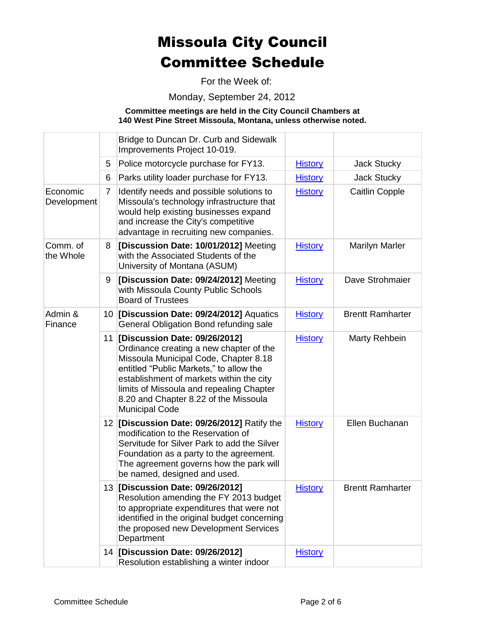For the Week of:

Monday, September 24, 2012

|                         |    | Bridge to Duncan Dr. Curb and Sidewalk<br>Improvements Project 10-019.                                                                                                                                                                                                                                                 |                |                         |
|-------------------------|----|------------------------------------------------------------------------------------------------------------------------------------------------------------------------------------------------------------------------------------------------------------------------------------------------------------------------|----------------|-------------------------|
|                         | 5  | Police motorcycle purchase for FY13.                                                                                                                                                                                                                                                                                   | <b>History</b> | Jack Stucky             |
|                         | 6  | Parks utility loader purchase for FY13.                                                                                                                                                                                                                                                                                | <b>History</b> | Jack Stucky             |
| Economic<br>Development | 7  | Identify needs and possible solutions to<br>Missoula's technology infrastructure that<br>would help existing businesses expand<br>and increase the City's competitive<br>advantage in recruiting new companies.                                                                                                        | <b>History</b> | <b>Caitlin Copple</b>   |
| Comm. of<br>the Whole   | 8  | [Discussion Date: 10/01/2012] Meeting<br>with the Associated Students of the<br>University of Montana (ASUM)                                                                                                                                                                                                           | <b>History</b> | <b>Marilyn Marler</b>   |
|                         | 9  | [Discussion Date: 09/24/2012] Meeting<br>with Missoula County Public Schools<br><b>Board of Trustees</b>                                                                                                                                                                                                               | <b>History</b> | Dave Strohmaier         |
| Admin &<br>Finance      |    | 10 [Discussion Date: 09/24/2012] Aquatics<br>General Obligation Bond refunding sale                                                                                                                                                                                                                                    | <b>History</b> | <b>Brentt Ramharter</b> |
|                         | 11 | [Discussion Date: 09/26/2012]<br>Ordinance creating a new chapter of the<br>Missoula Municipal Code, Chapter 8.18<br>entitled "Public Markets," to allow the<br>establishment of markets within the city<br>limits of Missoula and repealing Chapter<br>8.20 and Chapter 8.22 of the Missoula<br><b>Municipal Code</b> | <b>History</b> | Marty Rehbein           |
|                         |    | 12 [Discussion Date: 09/26/2012] Ratify the<br>modification to the Reservation of<br>Servitude for Silver Park to add the Silver<br>Foundation as a party to the agreement.<br>The agreement governs how the park will<br>be named, designed and used.                                                                 | <b>History</b> | Ellen Buchanan          |
|                         |    | 13 [Discussion Date: 09/26/2012]<br>Resolution amending the FY 2013 budget<br>to appropriate expenditures that were not<br>identified in the original budget concerning<br>the proposed new Development Services<br>Department                                                                                         | <b>History</b> | <b>Brentt Ramharter</b> |
|                         |    | 14 [Discussion Date: 09/26/2012]<br>Resolution establishing a winter indoor                                                                                                                                                                                                                                            | <b>History</b> |                         |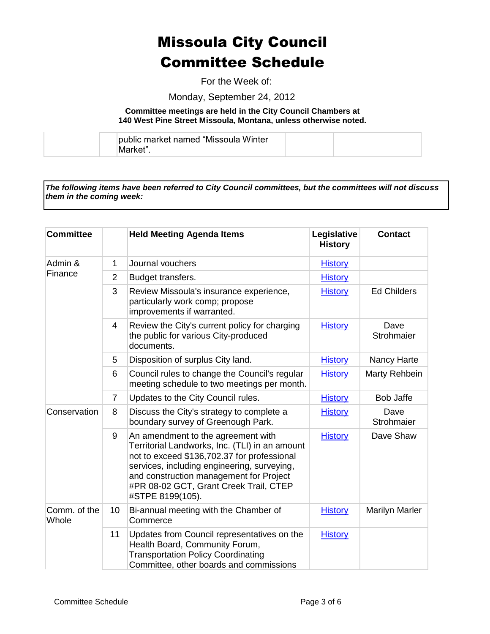For the Week of:

Monday, September 24, 2012

#### **Committee meetings are held in the City Council Chambers at 140 West Pine Street Missoula, Montana, unless otherwise noted.**

| public market named "Missoula Winter<br>⊪Market" |  |
|--------------------------------------------------|--|
|                                                  |  |

*The following items have been referred to City Council committees, but the committees will not discuss them in the coming week:*

| <b>Committee</b>      |                | <b>Held Meeting Agenda Items</b>                                                                                                                                                                                                                                                            | Legislative<br><b>History</b> | <b>Contact</b>     |
|-----------------------|----------------|---------------------------------------------------------------------------------------------------------------------------------------------------------------------------------------------------------------------------------------------------------------------------------------------|-------------------------------|--------------------|
| Admin &               | 1              | Journal vouchers                                                                                                                                                                                                                                                                            | <b>History</b>                |                    |
| Finance               | $\overline{2}$ | Budget transfers.                                                                                                                                                                                                                                                                           | <b>History</b>                |                    |
|                       | 3              | Review Missoula's insurance experience,<br>particularly work comp; propose<br>improvements if warranted.                                                                                                                                                                                    | <b>History</b>                | <b>Ed Childers</b> |
|                       | $\overline{4}$ | Review the City's current policy for charging<br>the public for various City-produced<br>documents.                                                                                                                                                                                         | <b>History</b>                | Dave<br>Strohmaier |
|                       | 5              | Disposition of surplus City land.                                                                                                                                                                                                                                                           | <b>History</b>                | Nancy Harte        |
|                       | 6              | Council rules to change the Council's regular<br>meeting schedule to two meetings per month.                                                                                                                                                                                                | <b>History</b>                | Marty Rehbein      |
|                       | 7              | Updates to the City Council rules.                                                                                                                                                                                                                                                          | <b>History</b>                | <b>Bob Jaffe</b>   |
| Conservation          | 8              | Discuss the City's strategy to complete a<br>boundary survey of Greenough Park.                                                                                                                                                                                                             | <b>History</b>                | Dave<br>Strohmaier |
|                       | 9              | An amendment to the agreement with<br>Territorial Landworks, Inc. (TLI) in an amount<br>not to exceed \$136,702.37 for professional<br>services, including engineering, surveying,<br>and construction management for Project<br>#PR 08-02 GCT, Grant Creek Trail, CTEP<br>#STPE 8199(105). | <b>History</b>                | Dave Shaw          |
| Comm. of the<br>Whole | 10             | Bi-annual meeting with the Chamber of<br>Commerce                                                                                                                                                                                                                                           | <b>History</b>                | Marilyn Marler     |
|                       | 11             | Updates from Council representatives on the<br>Health Board, Community Forum,<br><b>Transportation Policy Coordinating</b><br>Committee, other boards and commissions                                                                                                                       | <b>History</b>                |                    |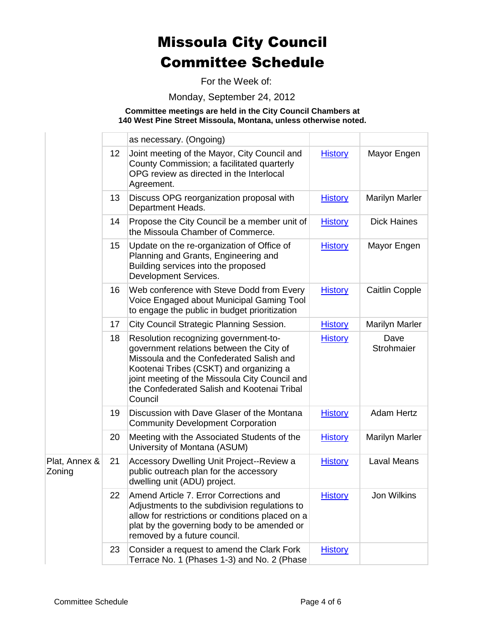For the Week of:

Monday, September 24, 2012

|                         |    | as necessary. (Ongoing)                                                                                                                                                                                                                                                              |                |                       |
|-------------------------|----|--------------------------------------------------------------------------------------------------------------------------------------------------------------------------------------------------------------------------------------------------------------------------------------|----------------|-----------------------|
|                         | 12 | Joint meeting of the Mayor, City Council and<br>County Commission; a facilitated quarterly<br>OPG review as directed in the Interlocal<br>Agreement.                                                                                                                                 | <b>History</b> | Mayor Engen           |
|                         | 13 | Discuss OPG reorganization proposal with<br>Department Heads.                                                                                                                                                                                                                        | <b>History</b> | <b>Marilyn Marler</b> |
|                         | 14 | Propose the City Council be a member unit of<br>the Missoula Chamber of Commerce.                                                                                                                                                                                                    | <b>History</b> | <b>Dick Haines</b>    |
|                         | 15 | Update on the re-organization of Office of<br>Planning and Grants, Engineering and<br>Building services into the proposed<br>Development Services.                                                                                                                                   | <b>History</b> | Mayor Engen           |
|                         | 16 | Web conference with Steve Dodd from Every<br>Voice Engaged about Municipal Gaming Tool<br>to engage the public in budget prioritization                                                                                                                                              | <b>History</b> | <b>Caitlin Copple</b> |
|                         | 17 | City Council Strategic Planning Session.                                                                                                                                                                                                                                             | <b>History</b> | <b>Marilyn Marler</b> |
|                         | 18 | Resolution recognizing government-to-<br>government relations between the City of<br>Missoula and the Confederated Salish and<br>Kootenai Tribes (CSKT) and organizing a<br>joint meeting of the Missoula City Council and<br>the Confederated Salish and Kootenai Tribal<br>Council | <b>History</b> | Dave<br>Strohmaier    |
|                         | 19 | Discussion with Dave Glaser of the Montana<br><b>Community Development Corporation</b>                                                                                                                                                                                               | <b>History</b> | <b>Adam Hertz</b>     |
|                         | 20 | Meeting with the Associated Students of the<br>University of Montana (ASUM)                                                                                                                                                                                                          | <b>History</b> | <b>Marilyn Marler</b> |
| Plat, Annex &<br>Zoning | 21 | Accessory Dwelling Unit Project--Review a<br>public outreach plan for the accessory<br>dwelling unit (ADU) project.                                                                                                                                                                  | <b>History</b> | <b>Laval Means</b>    |
|                         | 22 | Amend Article 7. Error Corrections and<br>Adjustments to the subdivision regulations to<br>allow for restrictions or conditions placed on a<br>plat by the governing body to be amended or<br>removed by a future council.                                                           | <b>History</b> | Jon Wilkins           |
|                         | 23 | Consider a request to amend the Clark Fork<br>Terrace No. 1 (Phases 1-3) and No. 2 (Phase                                                                                                                                                                                            | <b>History</b> |                       |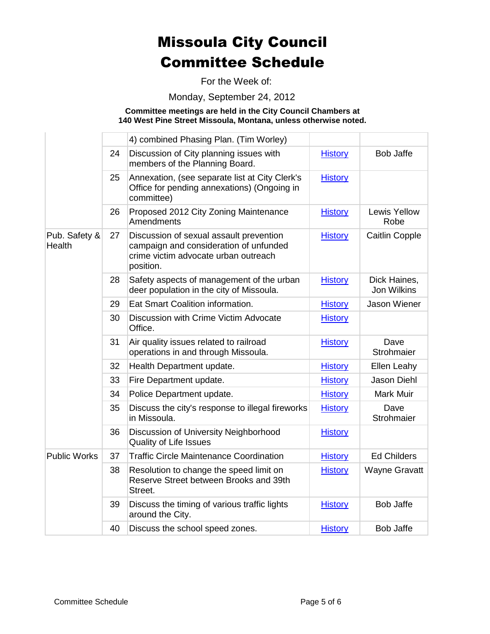For the Week of:

Monday, September 24, 2012

|                         |    | 4) combined Phasing Plan. (Tim Worley)                                                                                                 |                |                                    |
|-------------------------|----|----------------------------------------------------------------------------------------------------------------------------------------|----------------|------------------------------------|
|                         | 24 | Discussion of City planning issues with<br>members of the Planning Board.                                                              | <b>History</b> | <b>Bob Jaffe</b>                   |
|                         | 25 | Annexation, (see separate list at City Clerk's<br>Office for pending annexations) (Ongoing in<br>committee)                            | <b>History</b> |                                    |
|                         | 26 | Proposed 2012 City Zoning Maintenance<br>Amendments                                                                                    | <b>History</b> | <b>Lewis Yellow</b><br>Robe        |
| Pub. Safety &<br>Health | 27 | Discussion of sexual assault prevention<br>campaign and consideration of unfunded<br>crime victim advocate urban outreach<br>position. | <b>History</b> | <b>Caitlin Copple</b>              |
|                         | 28 | Safety aspects of management of the urban<br>deer population in the city of Missoula.                                                  | <b>History</b> | Dick Haines,<br><b>Jon Wilkins</b> |
|                         | 29 | Eat Smart Coalition information.                                                                                                       | <b>History</b> | Jason Wiener                       |
|                         | 30 | Discussion with Crime Victim Advocate<br>Office.                                                                                       | <b>History</b> |                                    |
|                         | 31 | Air quality issues related to railroad<br>operations in and through Missoula.                                                          | <b>History</b> | Dave<br>Strohmaier                 |
|                         | 32 | Health Department update.                                                                                                              | <b>History</b> | Ellen Leahy                        |
|                         | 33 | Fire Department update.                                                                                                                | <b>History</b> | <b>Jason Diehl</b>                 |
|                         | 34 | Police Department update.                                                                                                              | <b>History</b> | Mark Muir                          |
|                         | 35 | Discuss the city's response to illegal fireworks<br>in Missoula.                                                                       | <b>History</b> | Dave<br>Strohmaier                 |
|                         | 36 | Discussion of University Neighborhood<br><b>Quality of Life Issues</b>                                                                 | <b>History</b> |                                    |
| <b>Public Works</b>     | 37 | <b>Traffic Circle Maintenance Coordination</b>                                                                                         | <b>History</b> | <b>Ed Childers</b>                 |
|                         | 38 | Resolution to change the speed limit on<br>Reserve Street between Brooks and 39th<br>Street.                                           | <b>History</b> | <b>Wayne Gravatt</b>               |
|                         | 39 | Discuss the timing of various traffic lights<br>around the City.                                                                       | <b>History</b> | <b>Bob Jaffe</b>                   |
|                         | 40 | Discuss the school speed zones.                                                                                                        | <b>History</b> | <b>Bob Jaffe</b>                   |